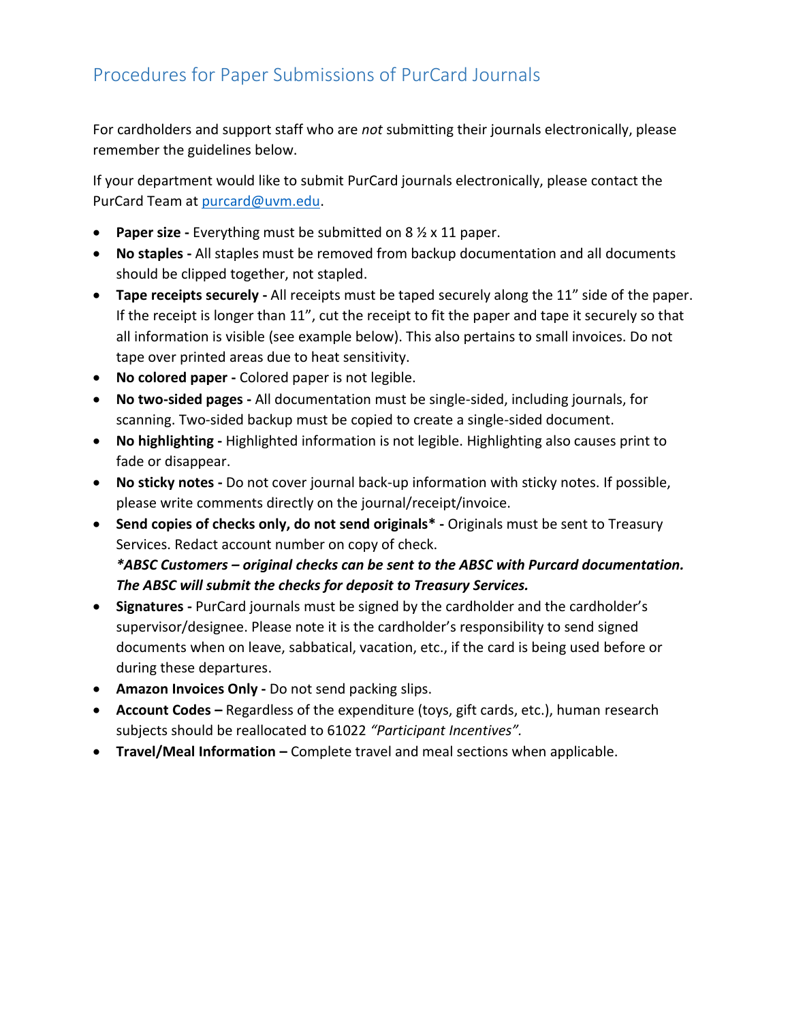## Procedures for Paper Submissions of PurCard Journals

For cardholders and support staff who are *not* submitting their journals electronically, please remember the guidelines below.

If your department would like to submit PurCard journals electronically, please contact the PurCard Team at [purcard@uvm.edu.](mailto:purcard@uvm.edu)

- **Paper size -** Everything must be submitted on 8 ½ x 11 paper.
- **No staples -** All staples must be removed from backup documentation and all documents should be clipped together, not stapled.
- **Tape receipts securely -** All receipts must be taped securely along the 11" side of the paper. If the receipt is longer than 11", cut the receipt to fit the paper and tape it securely so that all information is visible (see example below). This also pertains to small invoices. Do not tape over printed areas due to heat sensitivity.
- **No colored paper -** Colored paper is not legible.
- **No two-sided pages -** All documentation must be single-sided, including journals, for scanning. Two-sided backup must be copied to create a single-sided document.
- **No highlighting -** Highlighted information is not legible. Highlighting also causes print to fade or disappear.
- **No sticky notes -** Do not cover journal back-up information with sticky notes. If possible, please write comments directly on the journal/receipt/invoice.
- **Send copies of checks only, do not send originals\* -** Originals must be sent to Treasury Services. Redact account number on copy of check. *\*ABSC Customers – original checks can be sent to the ABSC with Purcard documentation. The ABSC will submit the checks for deposit to Treasury Services.*
- **Signatures -** PurCard journals must be signed by the cardholder and the cardholder's supervisor/designee. Please note it is the cardholder's responsibility to send signed documents when on leave, sabbatical, vacation, etc., if the card is being used before or during these departures.
- **Amazon Invoices Only -** Do not send packing slips.
- **Account Codes –** Regardless of the expenditure (toys, gift cards, etc.), human research subjects should be reallocated to 61022 *"Participant Incentives".*
- **Travel/Meal Information –** Complete travel and meal sections when applicable.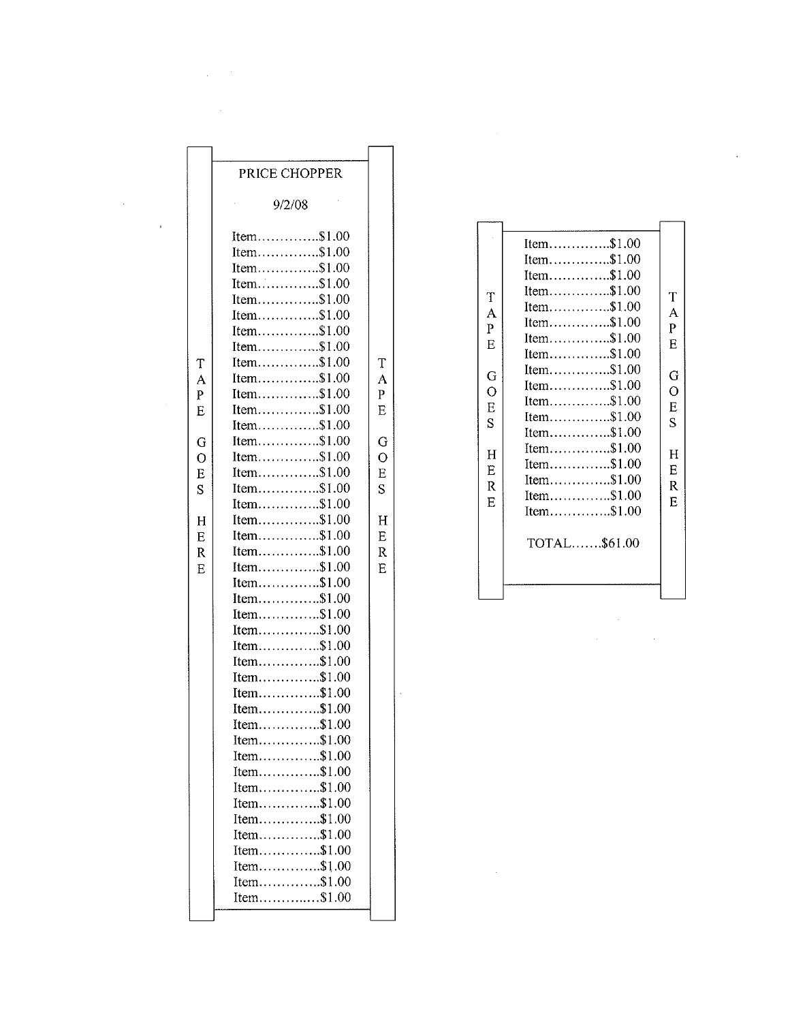$\bar{z}$ 

ł,

 $\hat{\boldsymbol{\theta}}$ 

 $\mathcal{A}^{\mathcal{A}}$ 

 $\mathbf{s}$ 

|                     | Item $$1.00$                          |                  |
|---------------------|---------------------------------------|------------------|
|                     | Item\$1.00                            |                  |
| T<br>A<br>P<br>E    | Item\$1.00                            | T<br>A<br>P<br>E |
|                     | Item $$1.00$                          |                  |
|                     | Item $$1.00$                          |                  |
|                     | Item $$1.00$                          |                  |
|                     | $Item \dots \dots \dots \dots \$1.00$ |                  |
|                     | $Item \dots 1.00$                     |                  |
| G<br>$\overline{O}$ | Item $$1.00$                          | G<br>O<br>Е      |
|                     | Item\$1.00                            |                  |
|                     | Item $$1.00$                          |                  |
| E                   | Item $$1.00$                          |                  |
| S                   | Item\$1.00                            | S                |
| Н<br>E<br>R         | Item\$1.00                            | Η<br>F.<br>R     |
|                     | Item $$1.00$                          |                  |
|                     | Item $$1.00$                          |                  |
|                     | $Item \dots \dots \dots \dots \$1.00$ |                  |
| Е                   | Item $$1.00$                          | E                |
|                     |                                       |                  |
|                     | TOTAL\$61.00                          |                  |
|                     |                                       |                  |
|                     |                                       |                  |
|                     |                                       |                  |

 $\label{eq:2} \frac{1}{2} \int_{\mathbb{R}^3} \left| \frac{d\mu}{d\mu} \right|^2 \, d\mu = \frac{1}{2} \int_{\mathbb{R}^3} \left| \frac{d\mu}{d\mu} \right|^2 \, d\mu$ 

 $\frac{1}{\sqrt{2}}$ 

 $\hat{\mathcal{S}}$